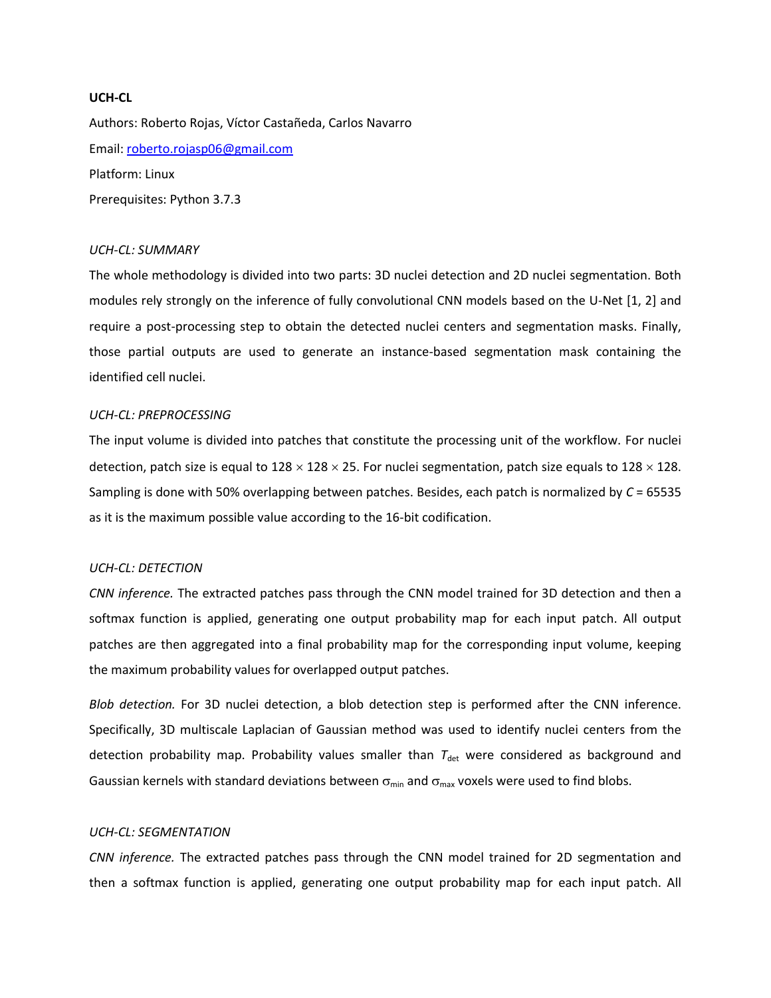# **UCH-CL**

Authors: Roberto Rojas, Víctor Castañeda, Carlos Navarro Email: [roberto.rojasp06@gmail.com](mailto:​roberto.rojasp06@gmail.com) Platform: Linux Prerequisites: Python 3.7.3

#### *UCH-CL: SUMMARY*

The whole methodology is divided into two parts: 3D nuclei detection and 2D nuclei segmentation. Both modules rely strongly on the inference of fully convolutional CNN models based on the U-Net [1, 2] and require a post-processing step to obtain the detected nuclei centers and segmentation masks. Finally, those partial outputs are used to generate an instance-based segmentation mask containing the identified cell nuclei.

### *UCH-CL: PREPROCESSING*

The input volume is divided into patches that constitute the processing unit of the workflow. For nuclei detection, patch size is equal to  $128 \times 128 \times 25$ . For nuclei segmentation, patch size equals to  $128 \times 128$ . Sampling is done with 50% overlapping between patches. Besides, each patch is normalized by *C* = 65535 as it is the maximum possible value according to the 16-bit codification.

# *UCH-CL: DETECTION*

*CNN inference.* The extracted patches pass through the CNN model trained for 3D detection and then a softmax function is applied, generating one output probability map for each input patch. All output patches are then aggregated into a final probability map for the corresponding input volume, keeping the maximum probability values for overlapped output patches.

*Blob detection.* For 3D nuclei detection, a blob detection step is performed after the CNN inference. Specifically, 3D multiscale Laplacian of Gaussian method was used to identify nuclei centers from the detection probability map. Probability values smaller than  $T_{\text{det}}$  were considered as background and Gaussian kernels with standard deviations between  $\sigma_{min}$  and  $\sigma_{max}$  voxels were used to find blobs.

#### *UCH-CL: SEGMENTATION*

*CNN inference.* The extracted patches pass through the CNN model trained for 2D segmentation and then a softmax function is applied, generating one output probability map for each input patch. All